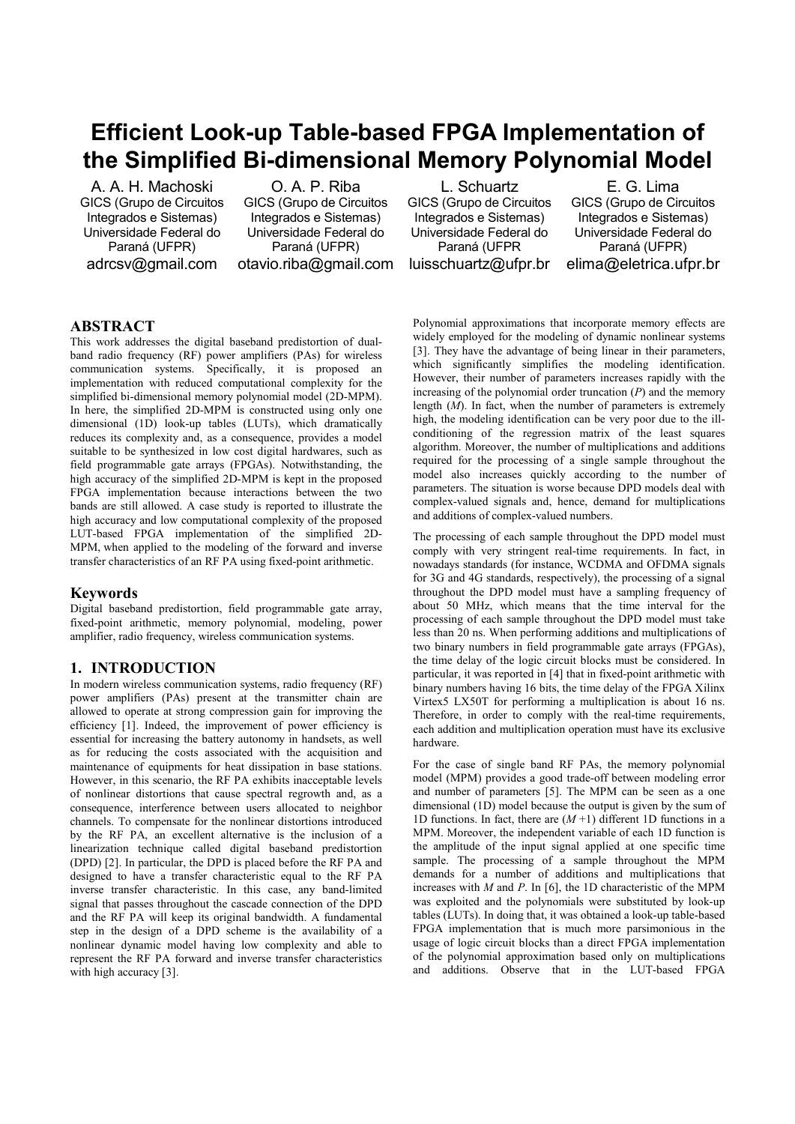# **Efficient Look-up Table-based FPGA Implementation of the Simplified Bi-dimensional Memory Polynomial Model**

A. A. H. Machoski GICS (Grupo de Circuitos Integrados e Sistemas) Universidade Federal do Paraná (UFPR) adrcsv@gmail.com

O. A. P. Riba GICS (Grupo de Circuitos Integrados e Sistemas) Universidade Federal do Paraná (UFPR) otavio.riba@gmail.com

L. Schuartz GICS (Grupo de Circuitos Integrados e Sistemas) Universidade Federal do Paraná (UFPR luisschuartz@ufpr.br

E. G. Lima GICS (Grupo de Circuitos Integrados e Sistemas) Universidade Federal do Paraná (UFPR) elima@eletrica.ufpr.br

# **ABSTRACT**

This work addresses the digital baseband predistortion of dualband radio frequency (RF) power amplifiers (PAs) for wireless communication systems. Specifically, it is proposed an implementation with reduced computational complexity for the simplified bi-dimensional memory polynomial model (2D-MPM). In here, the simplified 2D-MPM is constructed using only one dimensional (1D) look-up tables (LUTs), which dramatically reduces its complexity and, as a consequence, provides a model suitable to be synthesized in low cost digital hardwares, such as field programmable gate arrays (FPGAs). Notwithstanding, the high accuracy of the simplified 2D-MPM is kept in the proposed FPGA implementation because interactions between the two bands are still allowed. A case study is reported to illustrate the high accuracy and low computational complexity of the proposed LUT-based FPGA implementation of the simplified 2D-MPM, when applied to the modeling of the forward and inverse transfer characteristics of an RF PA using fixed-point arithmetic.

## **Keywords**

Digital baseband predistortion, field programmable gate array, fixed-point arithmetic, memory polynomial, modeling, power amplifier, radio frequency, wireless communication systems.

# **1. INTRODUCTION**

In modern wireless communication systems, radio frequency (RF) power amplifiers (PAs) present at the transmitter chain are allowed to operate at strong compression gain for improving the efficiency [1]. Indeed, the improvement of power efficiency is essential for increasing the battery autonomy in handsets, as well as for reducing the costs associated with the acquisition and maintenance of equipments for heat dissipation in base stations. However, in this scenario, the RF PA exhibits inacceptable levels of nonlinear distortions that cause spectral regrowth and, as a consequence, interference between users allocated to neighbor channels. To compensate for the nonlinear distortions introduced by the RF PA, an excellent alternative is the inclusion of a linearization technique called digital baseband predistortion (DPD) [2]. In particular, the DPD is placed before the RF PA and designed to have a transfer characteristic equal to the RF PA inverse transfer characteristic. In this case, any band-limited signal that passes throughout the cascade connection of the DPD and the RF PA will keep its original bandwidth. A fundamental step in the design of a DPD scheme is the availability of a nonlinear dynamic model having low complexity and able to represent the RF PA forward and inverse transfer characteristics with high accuracy [3].

Polynomial approximations that incorporate memory effects are widely employed for the modeling of dynamic nonlinear systems [3]. They have the advantage of being linear in their parameters, which significantly simplifies the modeling identification. However, their number of parameters increases rapidly with the increasing of the polynomial order truncation  $(P)$  and the memory length (*M*). In fact, when the number of parameters is extremely high, the modeling identification can be very poor due to the illconditioning of the regression matrix of the least squares algorithm. Moreover, the number of multiplications and additions required for the processing of a single sample throughout the model also increases quickly according to the number of parameters. The situation is worse because DPD models deal with complex-valued signals and, hence, demand for multiplications and additions of complex-valued numbers.

The processing of each sample throughout the DPD model must comply with very stringent real-time requirements. In fact, in nowadays standards (for instance, WCDMA and OFDMA signals for 3G and 4G standards, respectively), the processing of a signal throughout the DPD model must have a sampling frequency of about 50 MHz, which means that the time interval for the processing of each sample throughout the DPD model must take less than 20 ns. When performing additions and multiplications of two binary numbers in field programmable gate arrays (FPGAs), the time delay of the logic circuit blocks must be considered. In particular, it was reported in [4] that in fixed-point arithmetic with binary numbers having 16 bits, the time delay of the FPGA Xilinx Virtex5 LX50T for performing a multiplication is about 16 ns. Therefore, in order to comply with the real-time requirements, each addition and multiplication operation must have its exclusive hardware.

For the case of single band RF PAs, the memory polynomial model (MPM) provides a good trade-off between modeling error and number of parameters [5]. The MPM can be seen as a one dimensional (1D) model because the output is given by the sum of 1D functions. In fact, there are (*M* +1) different 1D functions in a MPM. Moreover, the independent variable of each 1D function is the amplitude of the input signal applied at one specific time sample. The processing of a sample throughout the MPM demands for a number of additions and multiplications that increases with *M* and *P*. In [6], the 1D characteristic of the MPM was exploited and the polynomials were substituted by look-up tables (LUTs). In doing that, it was obtained a look-up table-based FPGA implementation that is much more parsimonious in the usage of logic circuit blocks than a direct FPGA implementation of the polynomial approximation based only on multiplications and additions. Observe that in the LUT-based FPGA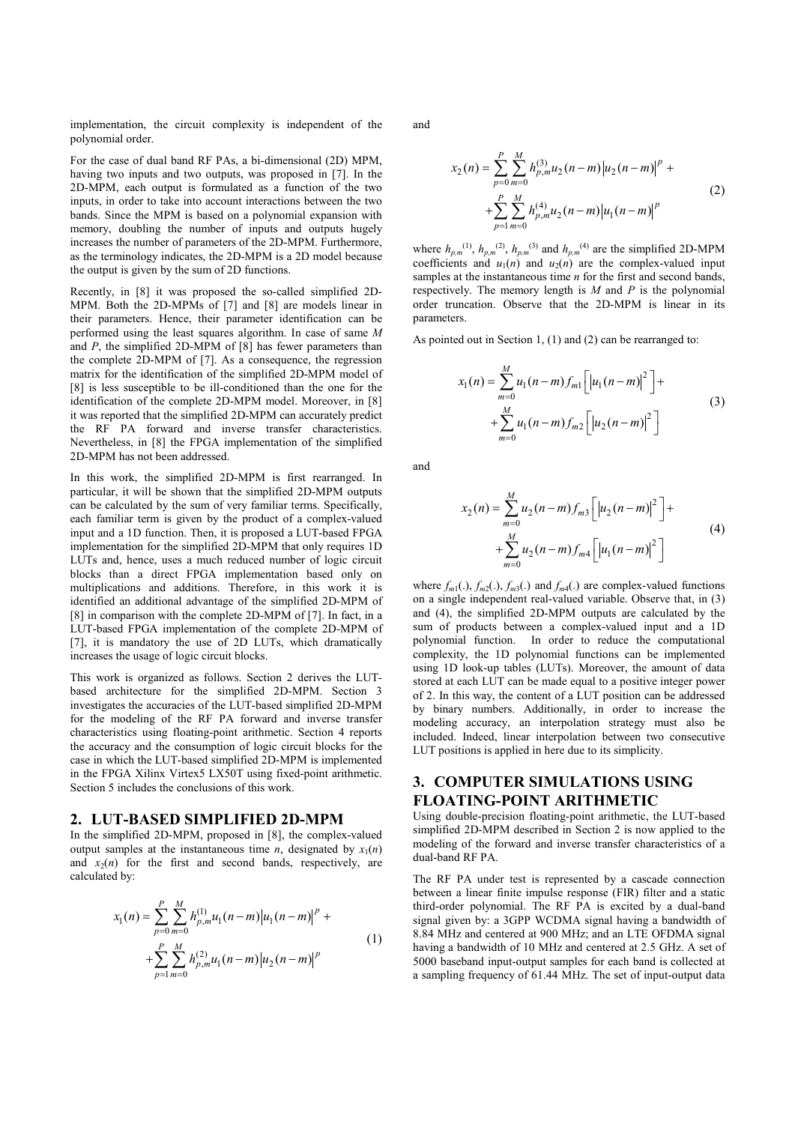implementation, the circuit complexity is independent of the polynomial order.

For the case of dual band RF PAs, a bi-dimensional (2D) MPM, having two inputs and two outputs, was proposed in [7]. In the 2D-MPM, each output is formulated as a function of the two inputs, in order to take into account interactions between the two bands. Since the MPM is based on a polynomial expansion with memory, doubling the number of inputs and outputs hugely increases the number of parameters of the 2D-MPM. Furthermore, as the terminology indicates, the 2D-MPM is a 2D model because the output is given by the sum of 2D functions.

Recently, in [8] it was proposed the so-called simplified 2D-MPM. Both the 2D-MPMs of [7] and [8] are models linear in their parameters. Hence, their parameter identification can be performed using the least squares algorithm. In case of same *M* and *P*, the simplified 2D-MPM of [8] has fewer parameters than the complete 2D-MPM of [7]. As a consequence, the regression matrix for the identification of the simplified 2D-MPM model of [8] is less susceptible to be ill-conditioned than the one for the identification of the complete 2D-MPM model. Moreover, in [8] it was reported that the simplified 2D-MPM can accurately predict the RF PA forward and inverse transfer characteristics. Nevertheless, in [8] the FPGA implementation of the simplified 2D-MPM has not been addressed.

In this work, the simplified 2D-MPM is first rearranged. In particular, it will be shown that the simplified 2D-MPM outputs can be calculated by the sum of very familiar terms. Specifically, each familiar term is given by the product of a complex-valued input and a 1D function. Then, it is proposed a LUT-based FPGA implementation for the simplified 2D-MPM that only requires 1D LUTs and, hence, uses a much reduced number of logic circuit blocks than a direct FPGA implementation based only on multiplications and additions. Therefore, in this work it is identified an additional advantage of the simplified 2D-MPM of [8] in comparison with the complete 2D-MPM of [7]. In fact, in a LUT-based FPGA implementation of the complete 2D-MPM of [7], it is mandatory the use of 2D LUTs, which dramatically increases the usage of logic circuit blocks.

This work is organized as follows. Section 2 derives the LUTbased architecture for the simplified 2D-MPM. Section 3 investigates the accuracies of the LUT-based simplified 2D-MPM for the modeling of the RF PA forward and inverse transfer characteristics using floating-point arithmetic. Section 4 reports the accuracy and the consumption of logic circuit blocks for the case in which the LUT-based simplified 2D-MPM is implemented in the FPGA Xilinx Virtex5 LX50T using fixed-point arithmetic. Section 5 includes the conclusions of this work.

#### **2. LUT-BASED SIMPLIFIED 2D-MPM**

In the simplified 2D-MPM, proposed in [8], the complex-valued output samples at the instantaneous time *n*, designated by  $x_1(n)$ and  $x_2(n)$  for the first and second bands, respectively, are calculated by:

$$
x_1(n) = \sum_{p=0}^{P} \sum_{m=0}^{M} h_{p,m}^{(1)} u_1(n-m) |u_1(n-m)|^P + + \sum_{p=1}^{P} \sum_{m=0}^{M} h_{p,m}^{(2)} u_1(n-m) |u_2(n-m)|^P
$$
 (1)

and

$$
x_2(n) = \sum_{p=0}^{P} \sum_{m=0}^{M} h_{p,m}^{(3)} u_2(n-m) |u_2(n-m)|^p + + \sum_{p=1}^{P} \sum_{m=0}^{M} h_{p,m}^{(4)} u_2(n-m) |u_1(n-m)|^p
$$
(2)

where  $h_{p,m}^{(1)}$ ,  $h_{p,m}^{(2)}$ ,  $h_{p,m}^{(3)}$  and  $h_{p,m}^{(4)}$  are the simplified 2D-MPM coefficients and  $u_1(n)$  and  $u_2(n)$  are the complex-valued input samples at the instantaneous time *n* for the first and second bands, respectively. The memory length is *M* and *P* is the polynomial order truncation. Observe that the 2D-MPM is linear in its parameters.

As pointed out in Section 1, (1) and (2) can be rearranged to:

$$
x_1(n) = \sum_{m=0}^{M} u_1(n-m) f_{m1} \left[ |u_1(n-m)|^2 \right] +
$$
  
+ 
$$
\sum_{m=0}^{M} u_1(n-m) f_{m2} \left[ |u_2(n-m)|^2 \right]
$$
 (3)

and

$$
x_2(n) = \sum_{m=0}^{M} u_2(n-m) f_{m3} \left[ \left| u_2(n-m) \right|^2 \right] +
$$
  
+ 
$$
\sum_{m=0}^{M} u_2(n-m) f_{m4} \left[ \left| u_1(n-m) \right|^2 \right]
$$
 (4)

where  $f_{m1}(.), f_{m2}(.), f_{m3}(.)$  and  $f_{m4}(.)$  are complex-valued functions on a single independent real-valued variable. Observe that, in (3) and (4), the simplified 2D-MPM outputs are calculated by the sum of products between a complex-valued input and a 1D polynomial function. In order to reduce the computational complexity, the 1D polynomial functions can be implemented using 1D look-up tables (LUTs). Moreover, the amount of data stored at each LUT can be made equal to a positive integer power of 2. In this way, the content of a LUT position can be addressed by binary numbers. Additionally, in order to increase the modeling accuracy, an interpolation strategy must also be included. Indeed, linear interpolation between two consecutive LUT positions is applied in here due to its simplicity.

# **3. COMPUTER SIMULATIONS USING FLOATING-POINT ARITHMETIC**

Using double-precision floating-point arithmetic, the LUT-based simplified 2D-MPM described in Section 2 is now applied to the modeling of the forward and inverse transfer characteristics of a dual-band RF PA.

The RF PA under test is represented by a cascade connection between a linear finite impulse response (FIR) filter and a static third-order polynomial. The RF PA is excited by a dual-band signal given by: a 3GPP WCDMA signal having a bandwidth of 8.84 MHz and centered at 900 MHz; and an LTE OFDMA signal having a bandwidth of 10 MHz and centered at 2.5 GHz. A set of 5000 baseband input-output samples for each band is collected at a sampling frequency of 61.44 MHz. The set of input-output data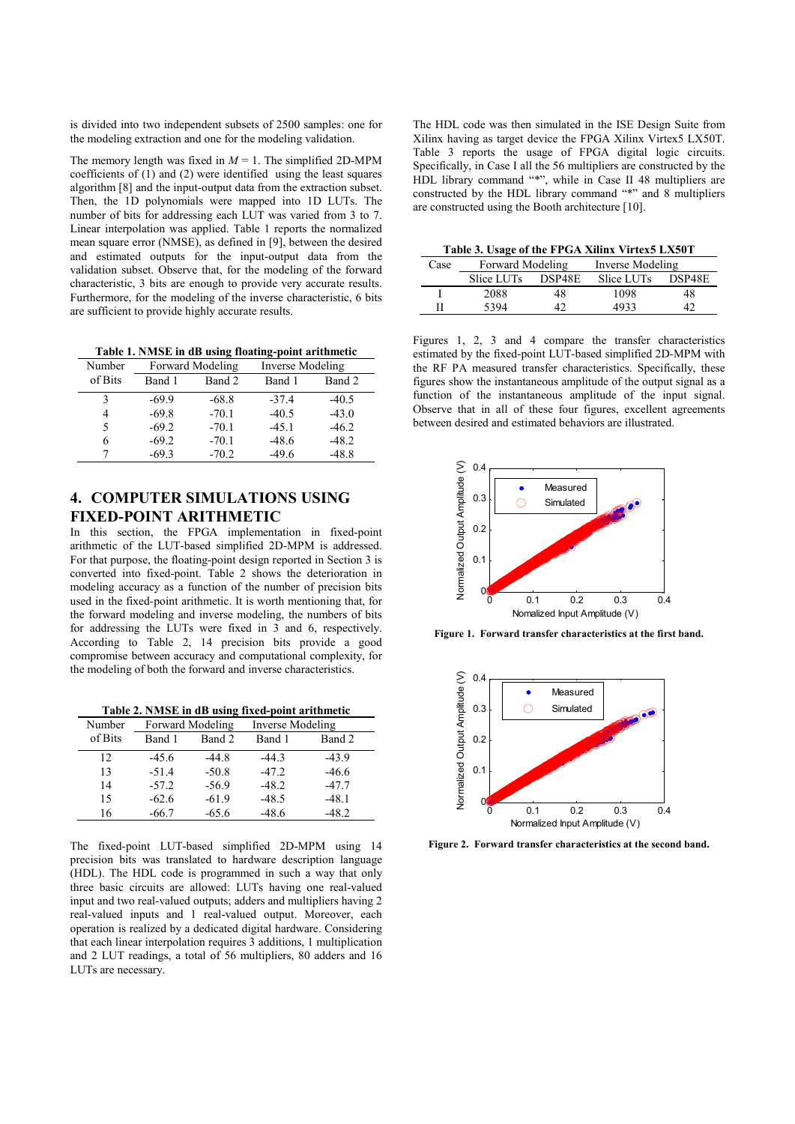is divided into two independent subsets of 2500 samples: one for the modeling extraction and one for the modeling validation.

The memory length was fixed in  $M = 1$ . The simplified 2D-MPM coefficients of (1) and (2) were identified using the least squares algorithm [8] and the input-output data from the extraction subset. Then, the 1D polynomials were mapped into 1D LUTs. The number of bits for addressing each LUT was varied from 3 to 7. Linear interpolation was applied. Table 1 reports the normalized mean square error (NMSE), as defined in [9], between the desired and estimated outputs for the input-output data from the validation subset. Observe that, for the modeling of the forward characteristic, 3 bits are enough to provide very accurate results. Furthermore, for the modeling of the inverse characteristic, 6 bits are sufficient to provide highly accurate results.

**Table 1. NMSE in dB using floating-point arithmetic**

| Number  | Forward Modeling |         | Inverse Modeling |         |
|---------|------------------|---------|------------------|---------|
| of Bits | Band 1           | Band 2  | Band 1           | Band 2  |
| 3       | $-69.9$          | $-68.8$ | $-37.4$          | $-40.5$ |
| 4       | $-69.8$          | $-70.1$ | $-40.5$          | $-43.0$ |
| 5       | $-69.2$          | $-70.1$ | $-45.1$          | $-46.2$ |
| 6       | $-69.2$          | $-70.1$ | $-48.6$          | $-48.2$ |
|         | $-69.3$          | $-70.2$ | $-49.6$          | $-48.8$ |

# **4. COMPUTER SIMULATIONS USING FIXED-POINT ARITHMETIC**

In this section, the FPGA implementation in fixed-point arithmetic of the LUT-based simplified 2D-MPM is addressed. For that purpose, the floating-point design reported in Section 3 is converted into fixed-point. Table 2 shows the deterioration in modeling accuracy as a function of the number of precision bits used in the fixed-point arithmetic. It is worth mentioning that, for the forward modeling and inverse modeling, the numbers of bits for addressing the LUTs were fixed in 3 and 6, respectively. According to Table 2, 14 precision bits provide a good compromise between accuracy and computational complexity, for the modeling of both the forward and inverse characteristics.

**Table 2. NMSE in dB using fixed-point arithmetic**

| Number  | Forward Modeling |         | Inverse Modeling |         |
|---------|------------------|---------|------------------|---------|
| of Bits | Band 1           | Band 2  | Band 1           | Band 2  |
| 12      | $-45.6$          | $-44.8$ | $-44.3$          | $-43.9$ |
| 13      | $-51.4$          | $-50.8$ | $-47.2$          | $-46.6$ |
| 14      | $-57.2$          | $-56.9$ | $-48.2$          | $-47.7$ |
| 15      | $-62.6$          | $-61.9$ | $-48.5$          | $-48.1$ |
| 16      | $-66.7$          | $-65.6$ | $-48.6$          | $-48.2$ |

The fixed-point LUT-based simplified 2D-MPM using 14 precision bits was translated to hardware description language (HDL). The HDL code is programmed in such a way that only three basic circuits are allowed: LUTs having one real-valued input and two real-valued outputs; adders and multipliers having 2 real-valued inputs and 1 real-valued output. Moreover, each operation is realized by a dedicated digital hardware. Considering that each linear interpolation requires 3 additions, 1 multiplication and 2 LUT readings, a total of 56 multipliers, 80 adders and 16 LUTs are necessary.

The HDL code was then simulated in the ISE Design Suite from Xilinx having as target device the FPGA Xilinx Virtex5 LX50T. Table 3 reports the usage of FPGA digital logic circuits. Specifically, in Case I all the 56 multipliers are constructed by the HDL library command "\*", while in Case II 48 multipliers are constructed by the HDL library command "\*" and 8 multipliers are constructed using the Booth architecture [10].

**Table 3. Usage of the FPGA Xilinx Virtex5 LX50T** 

| Case | <b>Forward Modeling</b> |        | Inverse Modeling |        |
|------|-------------------------|--------|------------------|--------|
|      | Slice LUTs              | DSP48E | Slice LUTs       | DSP48E |
|      | 2088                    | 48     | 1098             | 48     |
|      | 5394                    |        | 4933             |        |

Figures 1, 2, 3 and 4 compare the transfer characteristics estimated by the fixed-point LUT-based simplified 2D-MPM with the RF PA measured transfer characteristics. Specifically, these figures show the instantaneous amplitude of the output signal as a function of the instantaneous amplitude of the input signal. Observe that in all of these four figures, excellent agreements between desired and estimated behaviors are illustrated.



**Figure 1. Forward transfer characteristics at the first band.** 



**Figure 2. Forward transfer characteristics at the second band.**